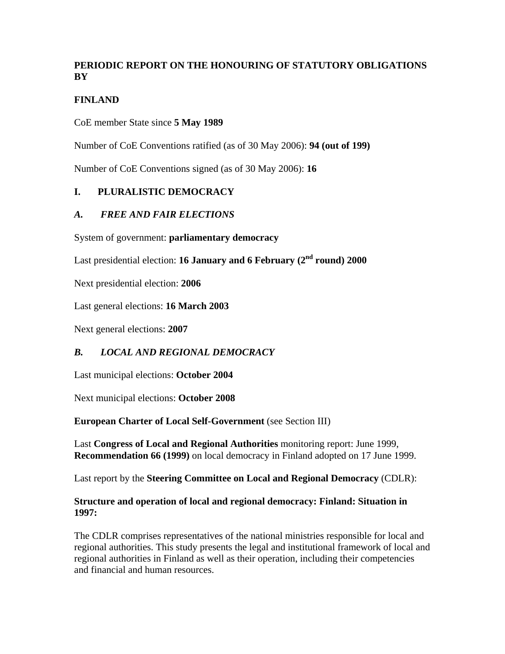# **PERIODIC REPORT ON THE HONOURING OF STATUTORY OBLIGATIONS BY**

# **FINLAND**

CoE member State since **5 May 1989**

Number of CoE Conventions ratified (as of 30 May 2006): **94 (out of 199)**

Number of CoE Conventions signed (as of 30 May 2006): **16**

## **I. PLURALISTIC DEMOCRACY**

### *A. FREE AND FAIR ELECTIONS*

System of government: **parliamentary democracy**

Last presidential election: **16 January and 6 February (2nd round) 2000**

Next presidential election: **2006**

Last general elections: **16 March 2003**

Next general elections: **2007**

### *B. LOCAL AND REGIONAL DEMOCRACY*

Last municipal elections: **October 2004**

Next municipal elections: **October 2008**

**European Charter of Local Self-Government** (see Section III)

Last **Congress of Local and Regional Authorities** monitoring report: June 1999, **Recommendation 66 (1999)** on local democracy in Finland adopted on 17 June 1999.

Last report by the **Steering Committee on Local and Regional Democracy** (CDLR):

#### **Structure and operation of local and regional democracy: Finland: Situation in 1997:**

The CDLR comprises representatives of the national ministries responsible for local and regional authorities. This study presents the legal and institutional framework of local and regional authorities in Finland as well as their operation, including their competencies and financial and human resources.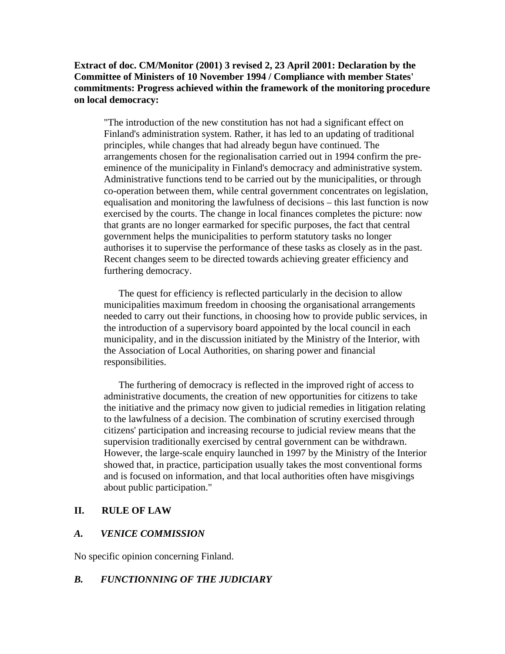#### **Extract of doc. CM/Monitor (2001) 3 revised 2, 23 April 2001: Declaration by the Committee of Ministers of 10 November 1994 / Compliance with member States' commitments: Progress achieved within the framework of the monitoring procedure on local democracy:**

"The introduction of the new constitution has not had a significant effect on Finland's administration system. Rather, it has led to an updating of traditional principles, while changes that had already begun have continued. The arrangements chosen for the regionalisation carried out in 1994 confirm the preeminence of the municipality in Finland's democracy and administrative system. Administrative functions tend to be carried out by the municipalities, or through co-operation between them, while central government concentrates on legislation, equalisation and monitoring the lawfulness of decisions – this last function is now exercised by the courts. The change in local finances completes the picture: now that grants are no longer earmarked for specific purposes, the fact that central government helps the municipalities to perform statutory tasks no longer authorises it to supervise the performance of these tasks as closely as in the past. Recent changes seem to be directed towards achieving greater efficiency and furthering democracy.

 The quest for efficiency is reflected particularly in the decision to allow municipalities maximum freedom in choosing the organisational arrangements needed to carry out their functions, in choosing how to provide public services, in the introduction of a supervisory board appointed by the local council in each municipality, and in the discussion initiated by the Ministry of the Interior, with the Association of Local Authorities, on sharing power and financial responsibilities.

 The furthering of democracy is reflected in the improved right of access to administrative documents, the creation of new opportunities for citizens to take the initiative and the primacy now given to judicial remedies in litigation relating to the lawfulness of a decision. The combination of scrutiny exercised through citizens' participation and increasing recourse to judicial review means that the supervision traditionally exercised by central government can be withdrawn. However, the large-scale enquiry launched in 1997 by the Ministry of the Interior showed that, in practice, participation usually takes the most conventional forms and is focused on information, and that local authorities often have misgivings about public participation."

#### **II. RULE OF LAW**

#### *A. VENICE COMMISSION*

No specific opinion concerning Finland.

### *B. FUNCTIONNING OF THE JUDICIARY*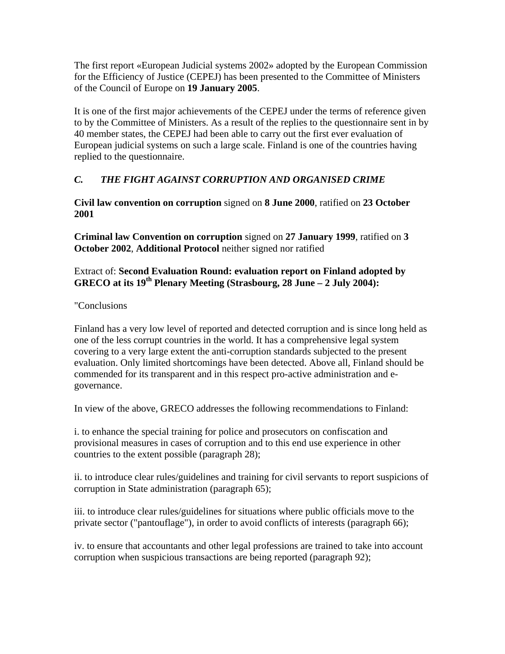The first report «European Judicial systems 2002» adopted by the European Commission for the Efficiency of Justice (CEPEJ) has been presented to the Committee of Ministers of the Council of Europe on **19 January 2005**.

It is one of the first major achievements of the CEPEJ under the terms of reference given to by the Committee of Ministers. As a result of the replies to the questionnaire sent in by 40 member states, the CEPEJ had been able to carry out the first ever evaluation of European judicial systems on such a large scale. Finland is one of the countries having replied to the questionnaire.

# *C. THE FIGHT AGAINST CORRUPTION AND ORGANISED CRIME*

**Civil law convention on corruption** signed on **8 June 2000**, ratified on **23 October 2001**

**Criminal law Convention on corruption** signed on **27 January 1999**, ratified on **3 October 2002**, **Additional Protocol** neither signed nor ratified

## Extract of: **Second Evaluation Round: evaluation report on Finland adopted by GRECO at its 19th Plenary Meeting (Strasbourg, 28 June – 2 July 2004):**

## "Conclusions

Finland has a very low level of reported and detected corruption and is since long held as one of the less corrupt countries in the world. It has a comprehensive legal system covering to a very large extent the anti-corruption standards subjected to the present evaluation. Only limited shortcomings have been detected. Above all, Finland should be commended for its transparent and in this respect pro-active administration and egovernance.

In view of the above, GRECO addresses the following recommendations to Finland:

i. to enhance the special training for police and prosecutors on confiscation and provisional measures in cases of corruption and to this end use experience in other countries to the extent possible (paragraph 28);

ii. to introduce clear rules/guidelines and training for civil servants to report suspicions of corruption in State administration (paragraph 65);

iii. to introduce clear rules/guidelines for situations where public officials move to the private sector ("pantouflage"), in order to avoid conflicts of interests (paragraph 66);

iv. to ensure that accountants and other legal professions are trained to take into account corruption when suspicious transactions are being reported (paragraph 92);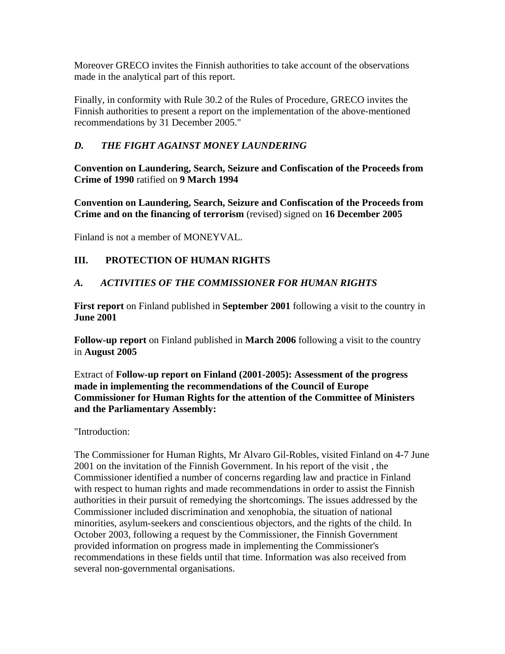Moreover GRECO invites the Finnish authorities to take account of the observations made in the analytical part of this report.

Finally, in conformity with Rule 30.2 of the Rules of Procedure, GRECO invites the Finnish authorities to present a report on the implementation of the above-mentioned recommendations by 31 December 2005."

# *D. THE FIGHT AGAINST MONEY LAUNDERING*

**Convention on Laundering, Search, Seizure and Confiscation of the Proceeds from Crime of 1990** ratified on **9 March 1994**

**Convention on Laundering, Search, Seizure and Confiscation of the Proceeds from Crime and on the financing of terrorism** (revised) signed on **16 December 2005**

Finland is not a member of MONEYVAL.

## **III. PROTECTION OF HUMAN RIGHTS**

## *A. ACTIVITIES OF THE COMMISSIONER FOR HUMAN RIGHTS*

**First report** on Finland published in **September 2001** following a visit to the country in **June 2001**

**Follow-up report** on Finland published in **March 2006** following a visit to the country in **August 2005**

Extract of **Follow-up report on Finland (2001-2005): Assessment of the progress made in implementing the recommendations of the Council of Europe Commissioner for Human Rights for the attention of the Committee of Ministers and the Parliamentary Assembly:**

"Introduction:

The Commissioner for Human Rights, Mr Alvaro Gil-Robles, visited Finland on 4-7 June 2001 on the invitation of the Finnish Government. In his report of the visit , the Commissioner identified a number of concerns regarding law and practice in Finland with respect to human rights and made recommendations in order to assist the Finnish authorities in their pursuit of remedying the shortcomings. The issues addressed by the Commissioner included discrimination and xenophobia, the situation of national minorities, asylum-seekers and conscientious objectors, and the rights of the child. In October 2003, following a request by the Commissioner, the Finnish Government provided information on progress made in implementing the Commissioner's recommendations in these fields until that time. Information was also received from several non-governmental organisations.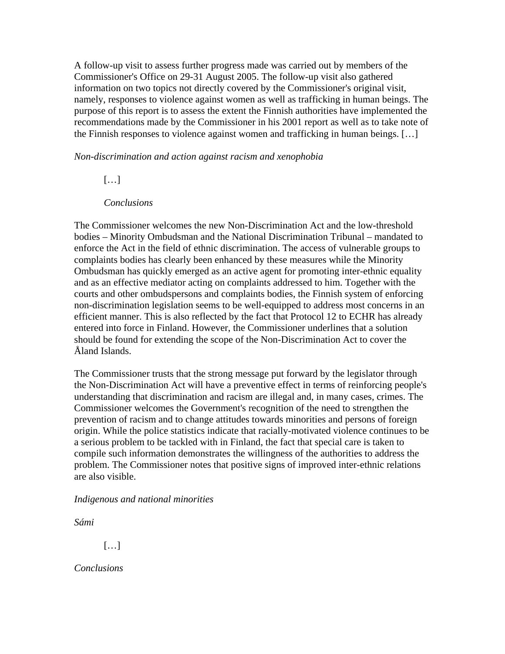A follow-up visit to assess further progress made was carried out by members of the Commissioner's Office on 29-31 August 2005. The follow-up visit also gathered information on two topics not directly covered by the Commissioner's original visit, namely, responses to violence against women as well as trafficking in human beings. The purpose of this report is to assess the extent the Finnish authorities have implemented the recommendations made by the Commissioner in his 2001 report as well as to take note of the Finnish responses to violence against women and trafficking in human beings. […]

*Non-discrimination and action against racism and xenophobia*

 $[\ldots]$ 

#### *Conclusions*

The Commissioner welcomes the new Non-Discrimination Act and the low-threshold bodies – Minority Ombudsman and the National Discrimination Tribunal – mandated to enforce the Act in the field of ethnic discrimination. The access of vulnerable groups to complaints bodies has clearly been enhanced by these measures while the Minority Ombudsman has quickly emerged as an active agent for promoting inter-ethnic equality and as an effective mediator acting on complaints addressed to him. Together with the courts and other ombudspersons and complaints bodies, the Finnish system of enforcing non-discrimination legislation seems to be well-equipped to address most concerns in an efficient manner. This is also reflected by the fact that Protocol 12 to ECHR has already entered into force in Finland. However, the Commissioner underlines that a solution should be found for extending the scope of the Non-Discrimination Act to cover the Åland Islands.

The Commissioner trusts that the strong message put forward by the legislator through the Non-Discrimination Act will have a preventive effect in terms of reinforcing people's understanding that discrimination and racism are illegal and, in many cases, crimes. The Commissioner welcomes the Government's recognition of the need to strengthen the prevention of racism and to change attitudes towards minorities and persons of foreign origin. While the police statistics indicate that racially-motivated violence continues to be a serious problem to be tackled with in Finland, the fact that special care is taken to compile such information demonstrates the willingness of the authorities to address the problem. The Commissioner notes that positive signs of improved inter-ethnic relations are also visible.

*Indigenous and national minorities* 

*Sámi* 

[…]

*Conclusions*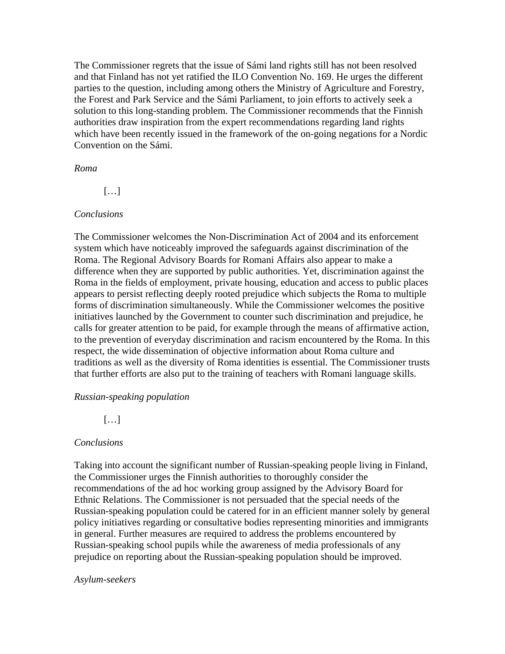The Commissioner regrets that the issue of Sámi land rights still has not been resolved and that Finland has not yet ratified the ILO Convention No. 169. He urges the different parties to the question, including among others the Ministry of Agriculture and Forestry, the Forest and Park Service and the Sámi Parliament, to join efforts to actively seek a solution to this long-standing problem. The Commissioner recommends that the Finnish authorities draw inspiration from the expert recommendations regarding land rights which have been recently issued in the framework of the on-going negations for a Nordic Convention on the Sámi.

#### *Roma*

[…]

#### *Conclusions*

The Commissioner welcomes the Non-Discrimination Act of 2004 and its enforcement system which have noticeably improved the safeguards against discrimination of the Roma. The Regional Advisory Boards for Romani Affairs also appear to make a difference when they are supported by public authorities. Yet, discrimination against the Roma in the fields of employment, private housing, education and access to public places appears to persist reflecting deeply rooted prejudice which subjects the Roma to multiple forms of discrimination simultaneously. While the Commissioner welcomes the positive initiatives launched by the Government to counter such discrimination and prejudice, he calls for greater attention to be paid, for example through the means of affirmative action, to the prevention of everyday discrimination and racism encountered by the Roma. In this respect, the wide dissemination of objective information about Roma culture and traditions as well as the diversity of Roma identities is essential. The Commissioner trusts that further efforts are also put to the training of teachers with Romani language skills.

#### *Russian-speaking population*

[…]

#### *Conclusions*

Taking into account the significant number of Russian-speaking people living in Finland, the Commissioner urges the Finnish authorities to thoroughly consider the recommendations of the ad hoc working group assigned by the Advisory Board for Ethnic Relations. The Commissioner is not persuaded that the special needs of the Russian-speaking population could be catered for in an efficient manner solely by general policy initiatives regarding or consultative bodies representing minorities and immigrants in general. Further measures are required to address the problems encountered by Russian-speaking school pupils while the awareness of media professionals of any prejudice on reporting about the Russian-speaking population should be improved.

#### *Asylum-seekers*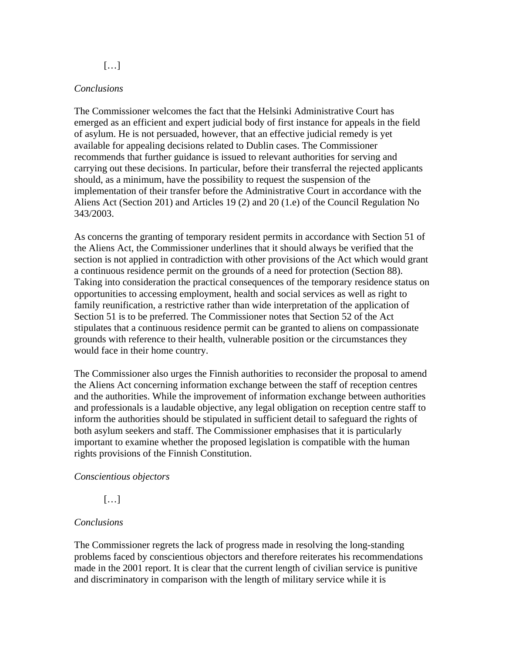$[\ldots]$ 

#### *Conclusions*

The Commissioner welcomes the fact that the Helsinki Administrative Court has emerged as an efficient and expert judicial body of first instance for appeals in the field of asylum. He is not persuaded, however, that an effective judicial remedy is yet available for appealing decisions related to Dublin cases. The Commissioner recommends that further guidance is issued to relevant authorities for serving and carrying out these decisions. In particular, before their transferral the rejected applicants should, as a minimum, have the possibility to request the suspension of the implementation of their transfer before the Administrative Court in accordance with the Aliens Act (Section 201) and Articles 19 (2) and 20 (1.e) of the Council Regulation No 343/2003.

As concerns the granting of temporary resident permits in accordance with Section 51 of the Aliens Act, the Commissioner underlines that it should always be verified that the section is not applied in contradiction with other provisions of the Act which would grant a continuous residence permit on the grounds of a need for protection (Section 88). Taking into consideration the practical consequences of the temporary residence status on opportunities to accessing employment, health and social services as well as right to family reunification, a restrictive rather than wide interpretation of the application of Section 51 is to be preferred. The Commissioner notes that Section 52 of the Act stipulates that a continuous residence permit can be granted to aliens on compassionate grounds with reference to their health, vulnerable position or the circumstances they would face in their home country.

The Commissioner also urges the Finnish authorities to reconsider the proposal to amend the Aliens Act concerning information exchange between the staff of reception centres and the authorities. While the improvement of information exchange between authorities and professionals is a laudable objective, any legal obligation on reception centre staff to inform the authorities should be stipulated in sufficient detail to safeguard the rights of both asylum seekers and staff. The Commissioner emphasises that it is particularly important to examine whether the proposed legislation is compatible with the human rights provisions of the Finnish Constitution.

#### *Conscientious objectors*

[…]

### *Conclusions*

The Commissioner regrets the lack of progress made in resolving the long-standing problems faced by conscientious objectors and therefore reiterates his recommendations made in the 2001 report. It is clear that the current length of civilian service is punitive and discriminatory in comparison with the length of military service while it is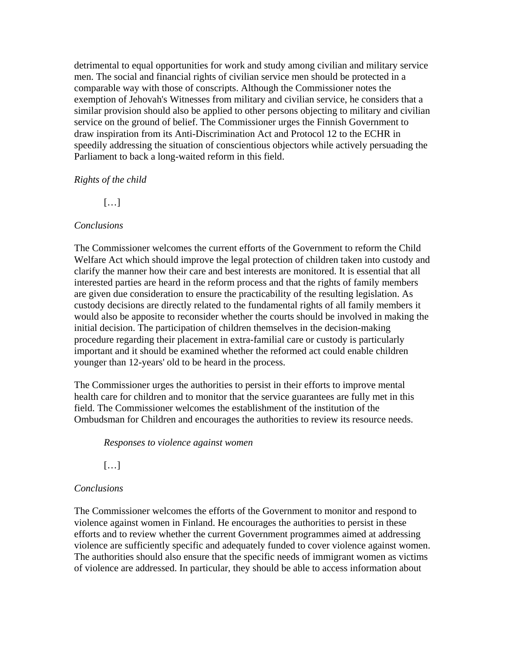detrimental to equal opportunities for work and study among civilian and military service men. The social and financial rights of civilian service men should be protected in a comparable way with those of conscripts. Although the Commissioner notes the exemption of Jehovah's Witnesses from military and civilian service, he considers that a similar provision should also be applied to other persons objecting to military and civilian service on the ground of belief. The Commissioner urges the Finnish Government to draw inspiration from its Anti-Discrimination Act and Protocol 12 to the ECHR in speedily addressing the situation of conscientious objectors while actively persuading the Parliament to back a long-waited reform in this field.

#### *Rights of the child*

 $[...]$ 

### *Conclusions*

The Commissioner welcomes the current efforts of the Government to reform the Child Welfare Act which should improve the legal protection of children taken into custody and clarify the manner how their care and best interests are monitored. It is essential that all interested parties are heard in the reform process and that the rights of family members are given due consideration to ensure the practicability of the resulting legislation. As custody decisions are directly related to the fundamental rights of all family members it would also be apposite to reconsider whether the courts should be involved in making the initial decision. The participation of children themselves in the decision-making procedure regarding their placement in extra-familial care or custody is particularly important and it should be examined whether the reformed act could enable children younger than 12-years' old to be heard in the process.

The Commissioner urges the authorities to persist in their efforts to improve mental health care for children and to monitor that the service guarantees are fully met in this field. The Commissioner welcomes the establishment of the institution of the Ombudsman for Children and encourages the authorities to review its resource needs.

*Responses to violence against women*

[…]

### *Conclusions*

The Commissioner welcomes the efforts of the Government to monitor and respond to violence against women in Finland. He encourages the authorities to persist in these efforts and to review whether the current Government programmes aimed at addressing violence are sufficiently specific and adequately funded to cover violence against women. The authorities should also ensure that the specific needs of immigrant women as victims of violence are addressed. In particular, they should be able to access information about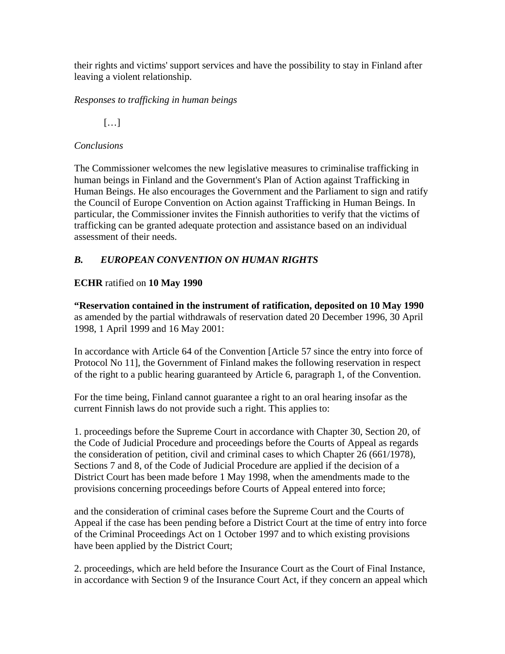their rights and victims' support services and have the possibility to stay in Finland after leaving a violent relationship.

*Responses to trafficking in human beings*

 $[...]$ 

## *Conclusions*

The Commissioner welcomes the new legislative measures to criminalise trafficking in human beings in Finland and the Government's Plan of Action against Trafficking in Human Beings. He also encourages the Government and the Parliament to sign and ratify the Council of Europe Convention on Action against Trafficking in Human Beings. In particular, the Commissioner invites the Finnish authorities to verify that the victims of trafficking can be granted adequate protection and assistance based on an individual assessment of their needs.

# *B. EUROPEAN CONVENTION ON HUMAN RIGHTS*

# **ECHR** ratified on **10 May 1990**

**"Reservation contained in the instrument of ratification, deposited on 10 May 1990**  as amended by the partial withdrawals of reservation dated 20 December 1996, 30 April 1998, 1 April 1999 and 16 May 2001:

In accordance with Article 64 of the Convention [Article 57 since the entry into force of Protocol No 11], the Government of Finland makes the following reservation in respect of the right to a public hearing guaranteed by Article 6, paragraph 1, of the Convention.

For the time being, Finland cannot guarantee a right to an oral hearing insofar as the current Finnish laws do not provide such a right. This applies to:

1. proceedings before the Supreme Court in accordance with Chapter 30, Section 20, of the Code of Judicial Procedure and proceedings before the Courts of Appeal as regards the consideration of petition, civil and criminal cases to which Chapter 26 (661/1978), Sections 7 and 8, of the Code of Judicial Procedure are applied if the decision of a District Court has been made before 1 May 1998, when the amendments made to the provisions concerning proceedings before Courts of Appeal entered into force;

and the consideration of criminal cases before the Supreme Court and the Courts of Appeal if the case has been pending before a District Court at the time of entry into force of the Criminal Proceedings Act on 1 October 1997 and to which existing provisions have been applied by the District Court;

2. proceedings, which are held before the Insurance Court as the Court of Final Instance, in accordance with Section 9 of the Insurance Court Act, if they concern an appeal which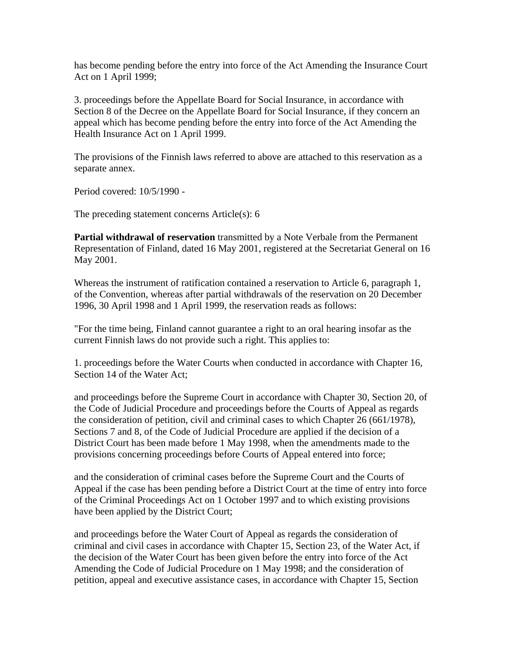has become pending before the entry into force of the Act Amending the Insurance Court Act on 1 April 1999;

3. proceedings before the Appellate Board for Social Insurance, in accordance with Section 8 of the Decree on the Appellate Board for Social Insurance, if they concern an appeal which has become pending before the entry into force of the Act Amending the Health Insurance Act on 1 April 1999.

The provisions of the Finnish laws referred to above are attached to this reservation as a separate annex.

Period covered: 10/5/1990 -

The preceding statement concerns Article(s): 6

**Partial withdrawal of reservation** transmitted by a Note Verbale from the Permanent Representation of Finland, dated 16 May 2001, registered at the Secretariat General on 16 May 2001.

Whereas the instrument of ratification contained a reservation to Article 6, paragraph 1, of the Convention, whereas after partial withdrawals of the reservation on 20 December 1996, 30 April 1998 and 1 April 1999, the reservation reads as follows:

"For the time being, Finland cannot guarantee a right to an oral hearing insofar as the current Finnish laws do not provide such a right. This applies to:

1. proceedings before the Water Courts when conducted in accordance with Chapter 16, Section 14 of the Water Act;

and proceedings before the Supreme Court in accordance with Chapter 30, Section 20, of the Code of Judicial Procedure and proceedings before the Courts of Appeal as regards the consideration of petition, civil and criminal cases to which Chapter 26 (661/1978), Sections 7 and 8, of the Code of Judicial Procedure are applied if the decision of a District Court has been made before 1 May 1998, when the amendments made to the provisions concerning proceedings before Courts of Appeal entered into force;

and the consideration of criminal cases before the Supreme Court and the Courts of Appeal if the case has been pending before a District Court at the time of entry into force of the Criminal Proceedings Act on 1 October 1997 and to which existing provisions have been applied by the District Court;

and proceedings before the Water Court of Appeal as regards the consideration of criminal and civil cases in accordance with Chapter 15, Section 23, of the Water Act, if the decision of the Water Court has been given before the entry into force of the Act Amending the Code of Judicial Procedure on 1 May 1998; and the consideration of petition, appeal and executive assistance cases, in accordance with Chapter 15, Section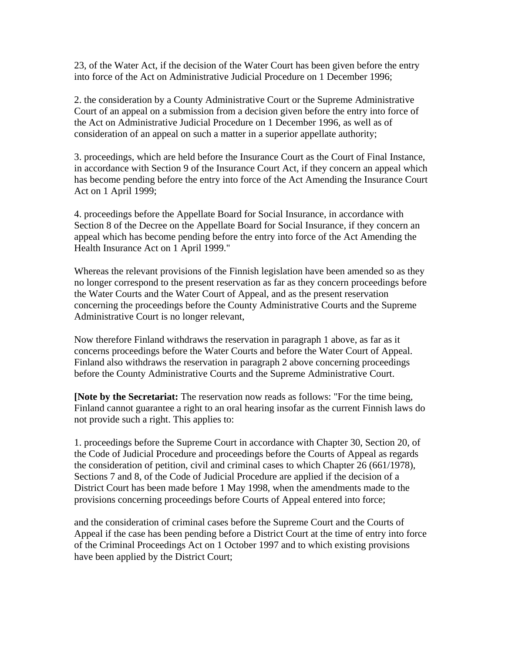23, of the Water Act, if the decision of the Water Court has been given before the entry into force of the Act on Administrative Judicial Procedure on 1 December 1996;

2. the consideration by a County Administrative Court or the Supreme Administrative Court of an appeal on a submission from a decision given before the entry into force of the Act on Administrative Judicial Procedure on 1 December 1996, as well as of consideration of an appeal on such a matter in a superior appellate authority;

3. proceedings, which are held before the Insurance Court as the Court of Final Instance, in accordance with Section 9 of the Insurance Court Act, if they concern an appeal which has become pending before the entry into force of the Act Amending the Insurance Court Act on 1 April 1999;

4. proceedings before the Appellate Board for Social Insurance, in accordance with Section 8 of the Decree on the Appellate Board for Social Insurance, if they concern an appeal which has become pending before the entry into force of the Act Amending the Health Insurance Act on 1 April 1999."

Whereas the relevant provisions of the Finnish legislation have been amended so as they no longer correspond to the present reservation as far as they concern proceedings before the Water Courts and the Water Court of Appeal, and as the present reservation concerning the proceedings before the County Administrative Courts and the Supreme Administrative Court is no longer relevant,

Now therefore Finland withdraws the reservation in paragraph 1 above, as far as it concerns proceedings before the Water Courts and before the Water Court of Appeal. Finland also withdraws the reservation in paragraph 2 above concerning proceedings before the County Administrative Courts and the Supreme Administrative Court.

**[Note by the Secretariat:** The reservation now reads as follows: "For the time being, Finland cannot guarantee a right to an oral hearing insofar as the current Finnish laws do not provide such a right. This applies to:

1. proceedings before the Supreme Court in accordance with Chapter 30, Section 20, of the Code of Judicial Procedure and proceedings before the Courts of Appeal as regards the consideration of petition, civil and criminal cases to which Chapter 26 (661/1978), Sections 7 and 8, of the Code of Judicial Procedure are applied if the decision of a District Court has been made before 1 May 1998, when the amendments made to the provisions concerning proceedings before Courts of Appeal entered into force;

and the consideration of criminal cases before the Supreme Court and the Courts of Appeal if the case has been pending before a District Court at the time of entry into force of the Criminal Proceedings Act on 1 October 1997 and to which existing provisions have been applied by the District Court;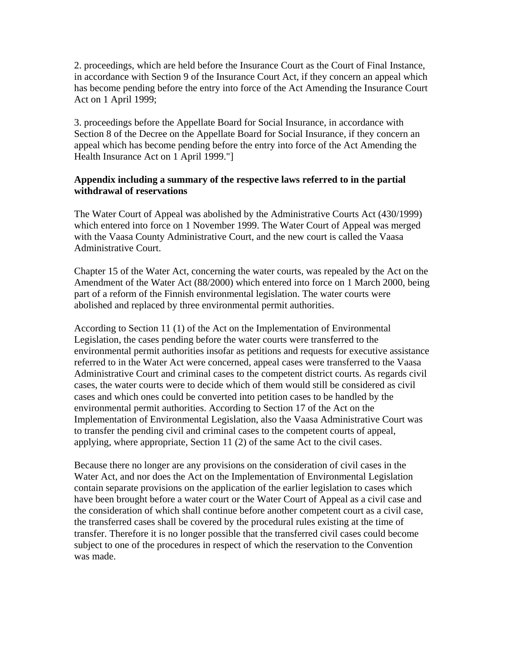2. proceedings, which are held before the Insurance Court as the Court of Final Instance, in accordance with Section 9 of the Insurance Court Act, if they concern an appeal which has become pending before the entry into force of the Act Amending the Insurance Court Act on 1 April 1999;

3. proceedings before the Appellate Board for Social Insurance, in accordance with Section 8 of the Decree on the Appellate Board for Social Insurance, if they concern an appeal which has become pending before the entry into force of the Act Amending the Health Insurance Act on 1 April 1999."]

#### **Appendix including a summary of the respective laws referred to in the partial withdrawal of reservations**

The Water Court of Appeal was abolished by the Administrative Courts Act (430/1999) which entered into force on 1 November 1999. The Water Court of Appeal was merged with the Vaasa County Administrative Court, and the new court is called the Vaasa Administrative Court.

Chapter 15 of the Water Act, concerning the water courts, was repealed by the Act on the Amendment of the Water Act (88/2000) which entered into force on 1 March 2000, being part of a reform of the Finnish environmental legislation. The water courts were abolished and replaced by three environmental permit authorities.

According to Section 11 (1) of the Act on the Implementation of Environmental Legislation, the cases pending before the water courts were transferred to the environmental permit authorities insofar as petitions and requests for executive assistance referred to in the Water Act were concerned, appeal cases were transferred to the Vaasa Administrative Court and criminal cases to the competent district courts. As regards civil cases, the water courts were to decide which of them would still be considered as civil cases and which ones could be converted into petition cases to be handled by the environmental permit authorities. According to Section 17 of the Act on the Implementation of Environmental Legislation, also the Vaasa Administrative Court was to transfer the pending civil and criminal cases to the competent courts of appeal, applying, where appropriate, Section 11 (2) of the same Act to the civil cases.

Because there no longer are any provisions on the consideration of civil cases in the Water Act, and nor does the Act on the Implementation of Environmental Legislation contain separate provisions on the application of the earlier legislation to cases which have been brought before a water court or the Water Court of Appeal as a civil case and the consideration of which shall continue before another competent court as a civil case, the transferred cases shall be covered by the procedural rules existing at the time of transfer. Therefore it is no longer possible that the transferred civil cases could become subject to one of the procedures in respect of which the reservation to the Convention was made.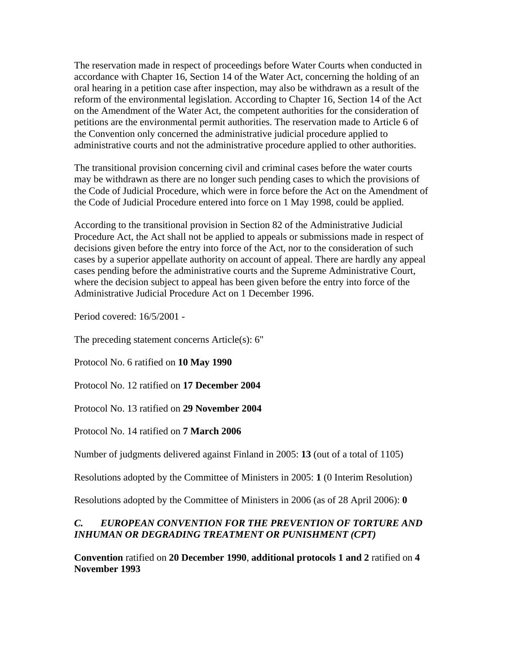The reservation made in respect of proceedings before Water Courts when conducted in accordance with Chapter 16, Section 14 of the Water Act, concerning the holding of an oral hearing in a petition case after inspection, may also be withdrawn as a result of the reform of the environmental legislation. According to Chapter 16, Section 14 of the Act on the Amendment of the Water Act, the competent authorities for the consideration of petitions are the environmental permit authorities. The reservation made to Article 6 of the Convention only concerned the administrative judicial procedure applied to administrative courts and not the administrative procedure applied to other authorities.

The transitional provision concerning civil and criminal cases before the water courts may be withdrawn as there are no longer such pending cases to which the provisions of the Code of Judicial Procedure, which were in force before the Act on the Amendment of the Code of Judicial Procedure entered into force on 1 May 1998, could be applied.

According to the transitional provision in Section 82 of the Administrative Judicial Procedure Act, the Act shall not be applied to appeals or submissions made in respect of decisions given before the entry into force of the Act, nor to the consideration of such cases by a superior appellate authority on account of appeal. There are hardly any appeal cases pending before the administrative courts and the Supreme Administrative Court, where the decision subject to appeal has been given before the entry into force of the Administrative Judicial Procedure Act on 1 December 1996.

Period covered: 16/5/2001 -

The preceding statement concerns Article(s): 6"

Protocol No. 6 ratified on **10 May 1990**

Protocol No. 12 ratified on **17 December 2004**

Protocol No. 13 ratified on **29 November 2004**

Protocol No. 14 ratified on **7 March 2006**

Number of judgments delivered against Finland in 2005: **13** (out of a total of 1105)

Resolutions adopted by the Committee of Ministers in 2005: **1** (0 Interim Resolution)

Resolutions adopted by the Committee of Ministers in 2006 (as of 28 April 2006): **0** 

# *C. EUROPEAN CONVENTION FOR THE PREVENTION OF TORTURE AND INHUMAN OR DEGRADING TREATMENT OR PUNISHMENT (CPT)*

**Convention** ratified on **20 December 1990**, **additional protocols 1 and 2** ratified on **4 November 1993**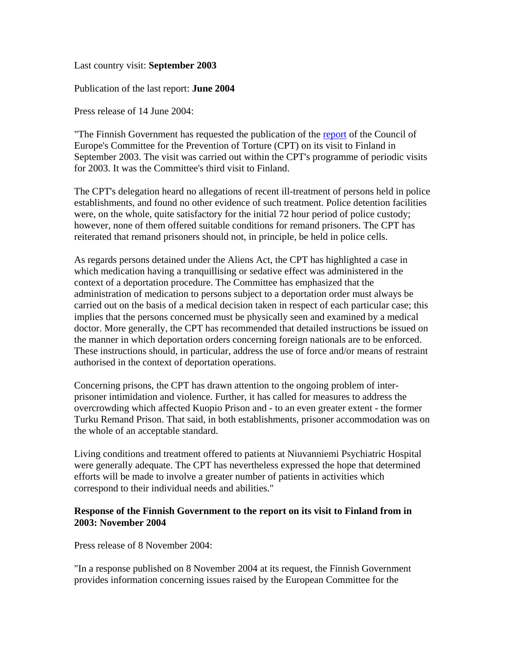#### Last country visit: **September 2003**

Publication of the last report: **June 2004**

Press release of 14 June 2004:

"The Finnish Government has requested the publication of the report of the Council of Europe's Committee for the Prevention of Torture (CPT) on its visit to Finland in September 2003. The visit was carried out within the CPT's programme of periodic visits for 2003. It was the Committee's third visit to Finland.

The CPT's delegation heard no allegations of recent ill-treatment of persons held in police establishments, and found no other evidence of such treatment. Police detention facilities were, on the whole, quite satisfactory for the initial 72 hour period of police custody; however, none of them offered suitable conditions for remand prisoners. The CPT has reiterated that remand prisoners should not, in principle, be held in police cells.

As regards persons detained under the Aliens Act, the CPT has highlighted a case in which medication having a tranquillising or sedative effect was administered in the context of a deportation procedure. The Committee has emphasized that the administration of medication to persons subject to a deportation order must always be carried out on the basis of a medical decision taken in respect of each particular case; this implies that the persons concerned must be physically seen and examined by a medical doctor. More generally, the CPT has recommended that detailed instructions be issued on the manner in which deportation orders concerning foreign nationals are to be enforced. These instructions should, in particular, address the use of force and/or means of restraint authorised in the context of deportation operations.

Concerning prisons, the CPT has drawn attention to the ongoing problem of interprisoner intimidation and violence. Further, it has called for measures to address the overcrowding which affected Kuopio Prison and - to an even greater extent - the former Turku Remand Prison. That said, in both establishments, prisoner accommodation was on the whole of an acceptable standard.

Living conditions and treatment offered to patients at Niuvanniemi Psychiatric Hospital were generally adequate. The CPT has nevertheless expressed the hope that determined efforts will be made to involve a greater number of patients in activities which correspond to their individual needs and abilities."

#### **Response of the Finnish Government to the report on its visit to Finland from in 2003: November 2004**

Press release of 8 November 2004:

"In a response published on 8 November 2004 at its request, the Finnish Government provides information concerning issues raised by the European Committee for the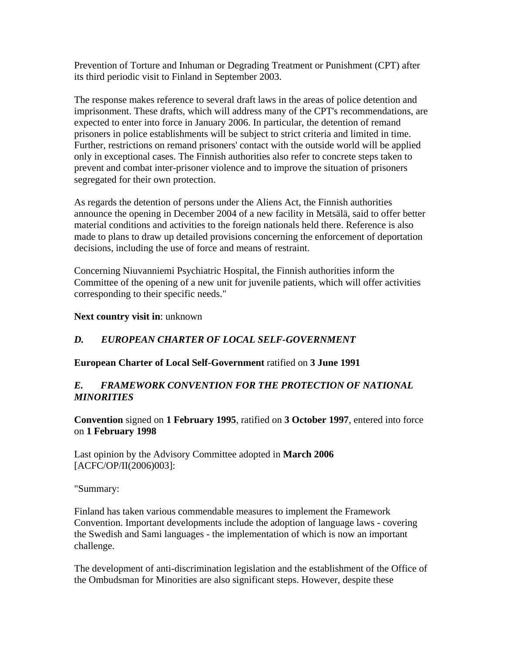Prevention of Torture and Inhuman or Degrading Treatment or Punishment (CPT) after its third periodic visit to Finland in September 2003.

The response makes reference to several draft laws in the areas of police detention and imprisonment. These drafts, which will address many of the CPT's recommendations, are expected to enter into force in January 2006. In particular, the detention of remand prisoners in police establishments will be subject to strict criteria and limited in time. Further, restrictions on remand prisoners' contact with the outside world will be applied only in exceptional cases. The Finnish authorities also refer to concrete steps taken to prevent and combat inter-prisoner violence and to improve the situation of prisoners segregated for their own protection.

As regards the detention of persons under the Aliens Act, the Finnish authorities announce the opening in December 2004 of a new facility in Metsälä, said to offer better material conditions and activities to the foreign nationals held there. Reference is also made to plans to draw up detailed provisions concerning the enforcement of deportation decisions, including the use of force and means of restraint.

Concerning Niuvanniemi Psychiatric Hospital, the Finnish authorities inform the Committee of the opening of a new unit for juvenile patients, which will offer activities corresponding to their specific needs."

**Next country visit in**: unknown

# *D. EUROPEAN CHARTER OF LOCAL SELF-GOVERNMENT*

### **European Charter of Local Self-Government** ratified on **3 June 1991**

### *E. FRAMEWORK CONVENTION FOR THE PROTECTION OF NATIONAL MINORITIES*

**Convention** signed on **1 February 1995**, ratified on **3 October 1997**, entered into force on **1 February 1998**

Last opinion by the Advisory Committee adopted in **March 2006**  [ACFC/OP/II(2006)003]:

"Summary:

Finland has taken various commendable measures to implement the Framework Convention. Important developments include the adoption of language laws - covering the Swedish and Sami languages - the implementation of which is now an important challenge.

The development of anti-discrimination legislation and the establishment of the Office of the Ombudsman for Minorities are also significant steps. However, despite these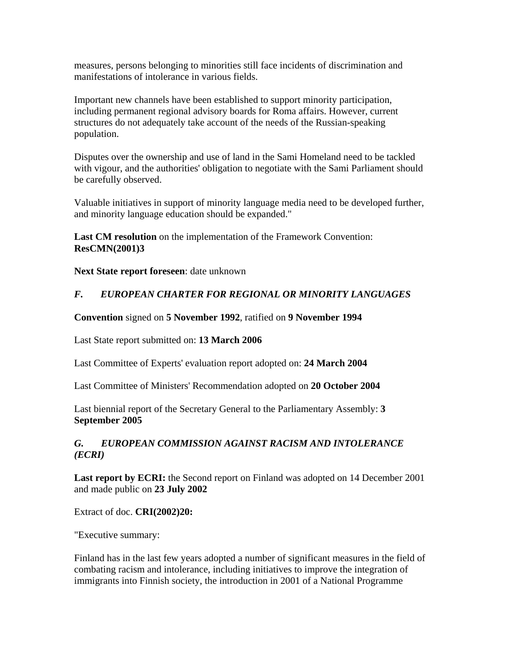measures, persons belonging to minorities still face incidents of discrimination and manifestations of intolerance in various fields.

Important new channels have been established to support minority participation, including permanent regional advisory boards for Roma affairs. However, current structures do not adequately take account of the needs of the Russian-speaking population.

Disputes over the ownership and use of land in the Sami Homeland need to be tackled with vigour, and the authorities' obligation to negotiate with the Sami Parliament should be carefully observed.

Valuable initiatives in support of minority language media need to be developed further, and minority language education should be expanded."

**Last CM resolution** on the implementation of the Framework Convention: **ResCMN(2001)3**

**Next State report foreseen**: date unknown

## *F. EUROPEAN CHARTER FOR REGIONAL OR MINORITY LANGUAGES*

#### **Convention** signed on **5 November 1992**, ratified on **9 November 1994**

Last State report submitted on: **13 March 2006**

Last Committee of Experts' evaluation report adopted on: **24 March 2004**

Last Committee of Ministers' Recommendation adopted on **20 October 2004**

Last biennial report of the Secretary General to the Parliamentary Assembly: **3 September 2005**

## *G. EUROPEAN COMMISSION AGAINST RACISM AND INTOLERANCE (ECRI)*

**Last report by ECRI:** the Second report on Finland was adopted on 14 December 2001 and made public on **23 July 2002**

Extract of doc. **CRI(2002)20:** 

"Executive summary:

Finland has in the last few years adopted a number of significant measures in the field of combating racism and intolerance, including initiatives to improve the integration of immigrants into Finnish society, the introduction in 2001 of a National Programme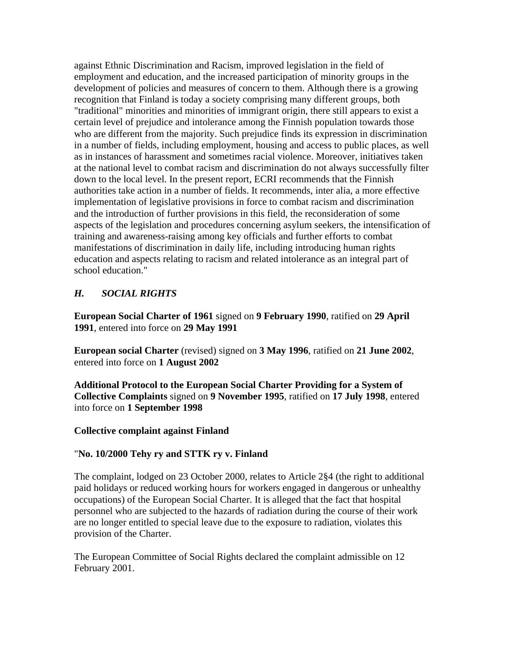against Ethnic Discrimination and Racism, improved legislation in the field of employment and education, and the increased participation of minority groups in the development of policies and measures of concern to them. Although there is a growing recognition that Finland is today a society comprising many different groups, both "traditional" minorities and minorities of immigrant origin, there still appears to exist a certain level of prejudice and intolerance among the Finnish population towards those who are different from the majority. Such prejudice finds its expression in discrimination in a number of fields, including employment, housing and access to public places, as well as in instances of harassment and sometimes racial violence. Moreover, initiatives taken at the national level to combat racism and discrimination do not always successfully filter down to the local level. In the present report, ECRI recommends that the Finnish authorities take action in a number of fields. It recommends, inter alia, a more effective implementation of legislative provisions in force to combat racism and discrimination and the introduction of further provisions in this field, the reconsideration of some aspects of the legislation and procedures concerning asylum seekers, the intensification of training and awareness-raising among key officials and further efforts to combat manifestations of discrimination in daily life, including introducing human rights education and aspects relating to racism and related intolerance as an integral part of school education."

# *H. SOCIAL RIGHTS*

**European Social Charter of 1961** signed on **9 February 1990**, ratified on **29 April 1991**, entered into force on **29 May 1991**

**European social Charter** (revised) signed on **3 May 1996**, ratified on **21 June 2002**, entered into force on **1 August 2002**

**Additional Protocol to the European Social Charter Providing for a System of Collective Complaints** signed on **9 November 1995**, ratified on **17 July 1998**, entered into force on **1 September 1998**

#### **Collective complaint against Finland**

### "**No. 10/2000 Tehy ry and STTK ry v. Finland**

The complaint, lodged on 23 October 2000, relates to Article 2§4 (the right to additional paid holidays or reduced working hours for workers engaged in dangerous or unhealthy occupations) of the European Social Charter. It is alleged that the fact that hospital personnel who are subjected to the hazards of radiation during the course of their work are no longer entitled to special leave due to the exposure to radiation, violates this provision of the Charter.

The European Committee of Social Rights declared the complaint admissible on 12 February 2001.